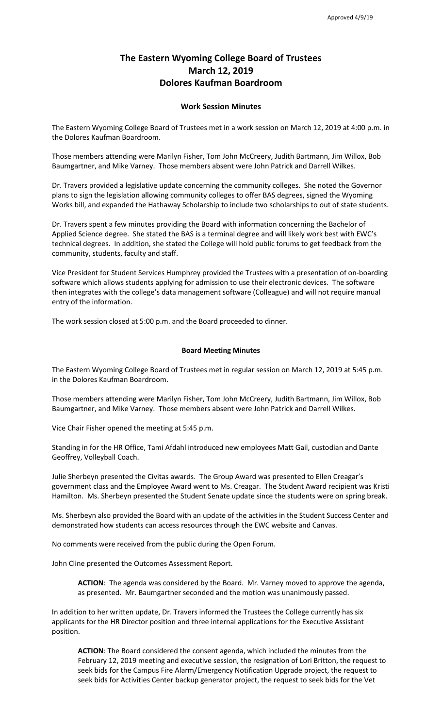## **The Eastern Wyoming College Board of Trustees March 12, 2019 Dolores Kaufman Boardroom**

## **Work Session Minutes**

The Eastern Wyoming College Board of Trustees met in a work session on March 12, 2019 at 4:00 p.m. in the Dolores Kaufman Boardroom.

Those members attending were Marilyn Fisher, Tom John McCreery, Judith Bartmann, Jim Willox, Bob Baumgartner, and Mike Varney. Those members absent were John Patrick and Darrell Wilkes.

Dr. Travers provided a legislative update concerning the community colleges. She noted the Governor plans to sign the legislation allowing community colleges to offer BAS degrees, signed the Wyoming Works bill, and expanded the Hathaway Scholarship to include two scholarships to out of state students.

Dr. Travers spent a few minutes providing the Board with information concerning the Bachelor of Applied Science degree. She stated the BAS is a terminal degree and will likely work best with EWC's technical degrees. In addition, she stated the College will hold public forums to get feedback from the community, students, faculty and staff.

Vice President for Student Services Humphrey provided the Trustees with a presentation of on-boarding software which allows students applying for admission to use their electronic devices. The software then integrates with the college's data management software (Colleague) and will not require manual entry of the information.

The work session closed at 5:00 p.m. and the Board proceeded to dinner.

## **Board Meeting Minutes**

The Eastern Wyoming College Board of Trustees met in regular session on March 12, 2019 at 5:45 p.m. in the Dolores Kaufman Boardroom.

Those members attending were Marilyn Fisher, Tom John McCreery, Judith Bartmann, Jim Willox, Bob Baumgartner, and Mike Varney. Those members absent were John Patrick and Darrell Wilkes.

Vice Chair Fisher opened the meeting at 5:45 p.m.

Standing in for the HR Office, Tami Afdahl introduced new employees Matt Gail, custodian and Dante Geoffrey, Volleyball Coach.

Julie Sherbeyn presented the Civitas awards. The Group Award was presented to Ellen Creagar's government class and the Employee Award went to Ms. Creagar. The Student Award recipient was Kristi Hamilton. Ms. Sherbeyn presented the Student Senate update since the students were on spring break.

Ms. Sherbeyn also provided the Board with an update of the activities in the Student Success Center and demonstrated how students can access resources through the EWC website and Canvas.

No comments were received from the public during the Open Forum.

John Cline presented the Outcomes Assessment Report.

**ACTION**: The agenda was considered by the Board. Mr. Varney moved to approve the agenda, as presented. Mr. Baumgartner seconded and the motion was unanimously passed.

In addition to her written update, Dr. Travers informed the Trustees the College currently has six applicants for the HR Director position and three internal applications for the Executive Assistant position.

**ACTION**: The Board considered the consent agenda, which included the minutes from the February 12, 2019 meeting and executive session, the resignation of Lori Britton, the request to seek bids for the Campus Fire Alarm/Emergency Notification Upgrade project, the request to seek bids for Activities Center backup generator project, the request to seek bids for the Vet